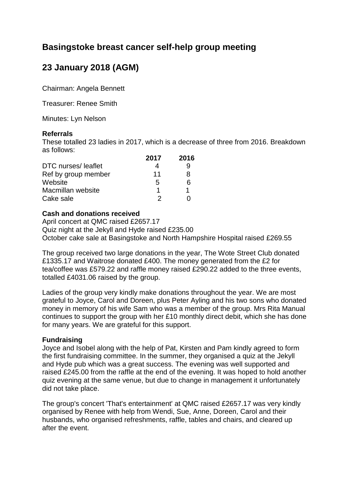# **Basingstoke breast cancer self-help group meeting**

# **23 January 2018 (AGM)**

Chairman: Angela Bennett

Treasurer: Renee Smith

Minutes: Lyn Nelson

## **Referrals**

These totalled 23 ladies in 2017, which is a decrease of three from 2016. Breakdown as follows: **2017 2016**

|                     | <b>2017</b> | <b>2016</b> |
|---------------------|-------------|-------------|
| DTC nurses/leaflet  |             | 9           |
| Ref by group member | 11          | R           |
| Website             | 5           | 6           |
| Macmillan website   |             |             |
| Cake sale           | 2           |             |

## **Cash and donations received**

April concert at QMC raised £2657.17 Quiz night at the Jekyll and Hyde raised £235.00 October cake sale at Basingstoke and North Hampshire Hospital raised £269.55

The group received two large donations in the year, The Wote Street Club donated £1335.17 and Waitrose donated £400. The money generated from the £2 for tea/coffee was £579.22 and raffle money raised £290.22 added to the three events, totalled £4031.06 raised by the group.

Ladies of the group very kindly make donations throughout the year. We are most grateful to Joyce, Carol and Doreen, plus Peter Ayling and his two sons who donated money in memory of his wife Sam who was a member of the group. Mrs Rita Manual continues to support the group with her £10 monthly direct debit, which she has done for many years. We are grateful for this support.

# **Fundraising**

Joyce and Isobel along with the help of Pat, Kirsten and Pam kindly agreed to form the first fundraising committee. In the summer, they organised a quiz at the Jekyll and Hyde pub which was a great success. The evening was well supported and raised £245.00 from the raffle at the end of the evening. It was hoped to hold another quiz evening at the same venue, but due to change in management it unfortunately did not take place.

The group's concert 'That's entertainment' at QMC raised £2657.17 was very kindly organised by Renee with help from Wendi, Sue, Anne, Doreen, Carol and their husbands, who organised refreshments, raffle, tables and chairs, and cleared up after the event.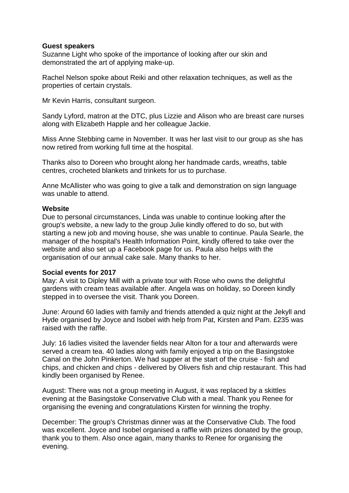## **Guest speakers**

Suzanne Light who spoke of the importance of looking after our skin and demonstrated the art of applying make-up.

Rachel Nelson spoke about Reiki and other relaxation techniques, as well as the properties of certain crystals.

Mr Kevin Harris, consultant surgeon.

Sandy Lyford, matron at the DTC, plus Lizzie and Alison who are breast care nurses along with Elizabeth Happle and her colleague Jackie.

Miss Anne Stebbing came in November. It was her last visit to our group as she has now retired from working full time at the hospital.

Thanks also to Doreen who brought along her handmade cards, wreaths, table centres, crocheted blankets and trinkets for us to purchase.

Anne McAllister who was going to give a talk and demonstration on sign language was unable to attend.

## **Website**

Due to personal circumstances, Linda was unable to continue looking after the group's website, a new lady to the group Julie kindly offered to do so, but with starting a new job and moving house, she was unable to continue. Paula Searle, the manager of the hospital's Health Information Point, kindly offered to take over the website and also set up a Facebook page for us. Paula also helps with the organisation of our annual cake sale. Many thanks to her.

# **Social events for 2017**

May: A visit to Dipley Mill with a private tour with Rose who owns the delightful gardens with cream teas available after. Angela was on holiday, so Doreen kindly stepped in to oversee the visit. Thank you Doreen.

June: Around 60 ladies with family and friends attended a quiz night at the Jekyll and Hyde organised by Joyce and Isobel with help from Pat, Kirsten and Pam. £235 was raised with the raffle.

July: 16 ladies visited the lavender fields near Alton for a tour and afterwards were served a cream tea. 40 ladies along with family enjoyed a trip on the Basingstoke Canal on the John Pinkerton. We had supper at the start of the cruise - fish and chips, and chicken and chips - delivered by Olivers fish and chip restaurant. This had kindly been organised by Renee.

August: There was not a group meeting in August, it was replaced by a skittles evening at the Basingstoke Conservative Club with a meal. Thank you Renee for organising the evening and congratulations Kirsten for winning the trophy.

December: The group's Christmas dinner was at the Conservative Club. The food was excellent. Joyce and Isobel organised a raffle with prizes donated by the group, thank you to them. Also once again, many thanks to Renee for organising the evening.